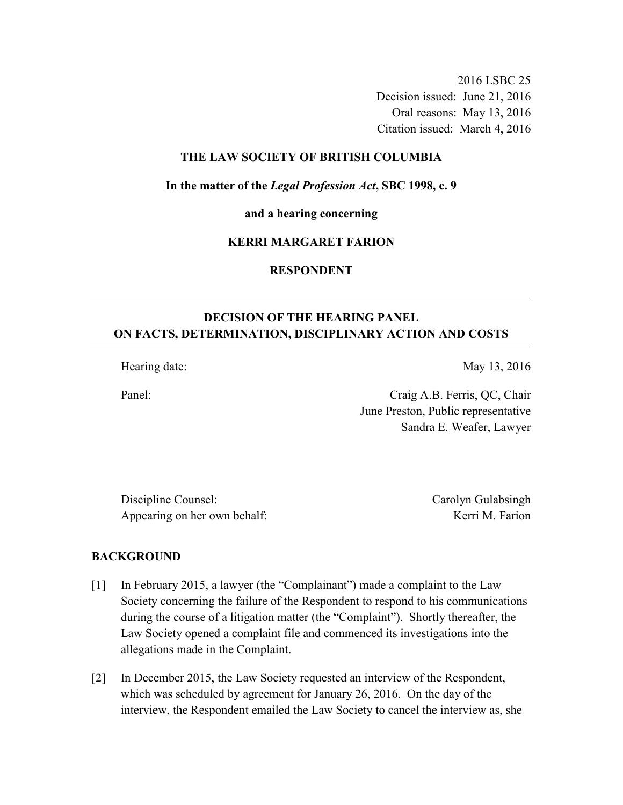2016 LSBC 25 Decision issued: June 21, 2016 Oral reasons: May 13, 2016 Citation issued: March 4, 2016

### **THE LAW SOCIETY OF BRITISH COLUMBIA**

**In the matter of the** *Legal Profession Act***, SBC 1998, c. 9** 

**and a hearing concerning** 

#### **KERRI MARGARET FARION**

# **RESPONDENT**

# **DECISION OF THE HEARING PANEL ON FACTS, DETERMINATION, DISCIPLINARY ACTION AND COSTS**

Hearing date: May 13, 2016

Panel: Craig A.B. Ferris, QC, Chair June Preston, Public representative

Sandra E. Weafer, Lawyer

Discipline Counsel: Carolyn Gulabsingh Appearing on her own behalf: Kerri M. Farion

#### **BACKGROUND**

- [1] In February 2015, a lawyer (the "Complainant") made a complaint to the Law Society concerning the failure of the Respondent to respond to his communications during the course of a litigation matter (the "Complaint"). Shortly thereafter, the Law Society opened a complaint file and commenced its investigations into the allegations made in the Complaint.
- [2] In December 2015, the Law Society requested an interview of the Respondent, which was scheduled by agreement for January 26, 2016. On the day of the interview, the Respondent emailed the Law Society to cancel the interview as, she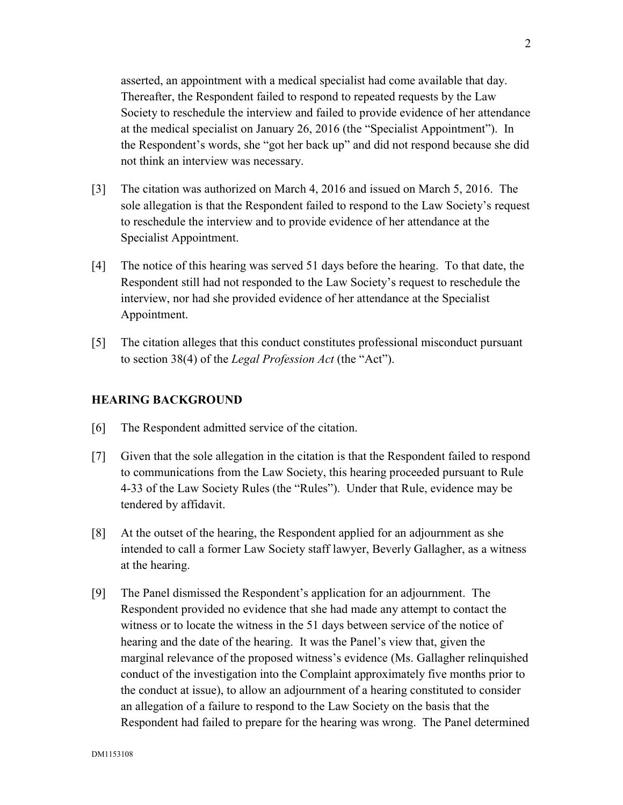asserted, an appointment with a medical specialist had come available that day. Thereafter, the Respondent failed to respond to repeated requests by the Law Society to reschedule the interview and failed to provide evidence of her attendance at the medical specialist on January 26, 2016 (the "Specialist Appointment"). In the Respondent's words, she "got her back up" and did not respond because she did not think an interview was necessary.

- [3] The citation was authorized on March 4, 2016 and issued on March 5, 2016. The sole allegation is that the Respondent failed to respond to the Law Society's request to reschedule the interview and to provide evidence of her attendance at the Specialist Appointment.
- [4] The notice of this hearing was served 51 days before the hearing. To that date, the Respondent still had not responded to the Law Society's request to reschedule the interview, nor had she provided evidence of her attendance at the Specialist Appointment.
- [5] The citation alleges that this conduct constitutes professional misconduct pursuant to section 38(4) of the *Legal Profession Act* (the "Act").

## **HEARING BACKGROUND**

- [6] The Respondent admitted service of the citation.
- [7] Given that the sole allegation in the citation is that the Respondent failed to respond to communications from the Law Society, this hearing proceeded pursuant to Rule 4-33 of the Law Society Rules (the "Rules"). Under that Rule, evidence may be tendered by affidavit.
- [8] At the outset of the hearing, the Respondent applied for an adjournment as she intended to call a former Law Society staff lawyer, Beverly Gallagher, as a witness at the hearing.
- [9] The Panel dismissed the Respondent's application for an adjournment. The Respondent provided no evidence that she had made any attempt to contact the witness or to locate the witness in the 51 days between service of the notice of hearing and the date of the hearing. It was the Panel's view that, given the marginal relevance of the proposed witness's evidence (Ms. Gallagher relinquished conduct of the investigation into the Complaint approximately five months prior to the conduct at issue), to allow an adjournment of a hearing constituted to consider an allegation of a failure to respond to the Law Society on the basis that the Respondent had failed to prepare for the hearing was wrong. The Panel determined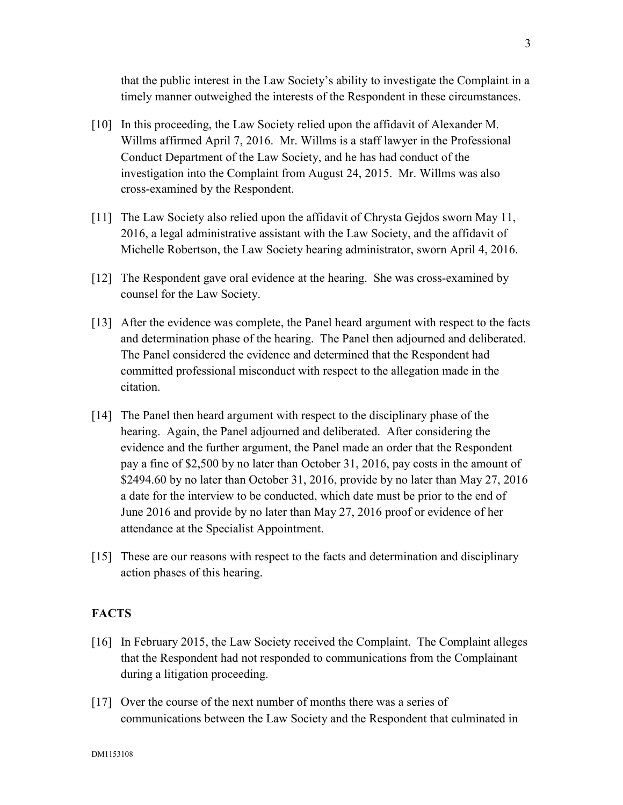that the public interest in the Law Society's ability to investigate the Complaint in a timely manner outweighed the interests of the Respondent in these circumstances.

- [10] In this proceeding, the Law Society relied upon the affidavit of Alexander M. Willms affirmed April 7, 2016. Mr. Willms is a staff lawyer in the Professional Conduct Department of the Law Society, and he has had conduct of the investigation into the Complaint from August 24, 2015. Mr. Willms was also cross-examined by the Respondent.
- [11] The Law Society also relied upon the affidavit of Chrysta Gejdos sworn May 11, 2016, a legal administrative assistant with the Law Society, and the affidavit of Michelle Robertson, the Law Society hearing administrator, sworn April 4, 2016.
- [12] The Respondent gave oral evidence at the hearing. She was cross-examined by counsel for the Law Society.
- [13] After the evidence was complete, the Panel heard argument with respect to the facts and determination phase of the hearing. The Panel then adjourned and deliberated. The Panel considered the evidence and determined that the Respondent had committed professional misconduct with respect to the allegation made in the citation.
- [14] The Panel then heard argument with respect to the disciplinary phase of the hearing. Again, the Panel adjourned and deliberated. After considering the evidence and the further argument, the Panel made an order that the Respondent pay a fine of \$2,500 by no later than October 31, 2016, pay costs in the amount of \$2494.60 by no later than October 31, 2016, provide by no later than May 27, 2016 a date for the interview to be conducted, which date must be prior to the end of June 2016 and provide by no later than May 27, 2016 proof or evidence of her attendance at the Specialist Appointment.
- [15] These are our reasons with respect to the facts and determination and disciplinary action phases of this hearing.

## **FACTS**

- [16] In February 2015, the Law Society received the Complaint. The Complaint alleges that the Respondent had not responded to communications from the Complainant during a litigation proceeding.
- [17] Over the course of the next number of months there was a series of communications between the Law Society and the Respondent that culminated in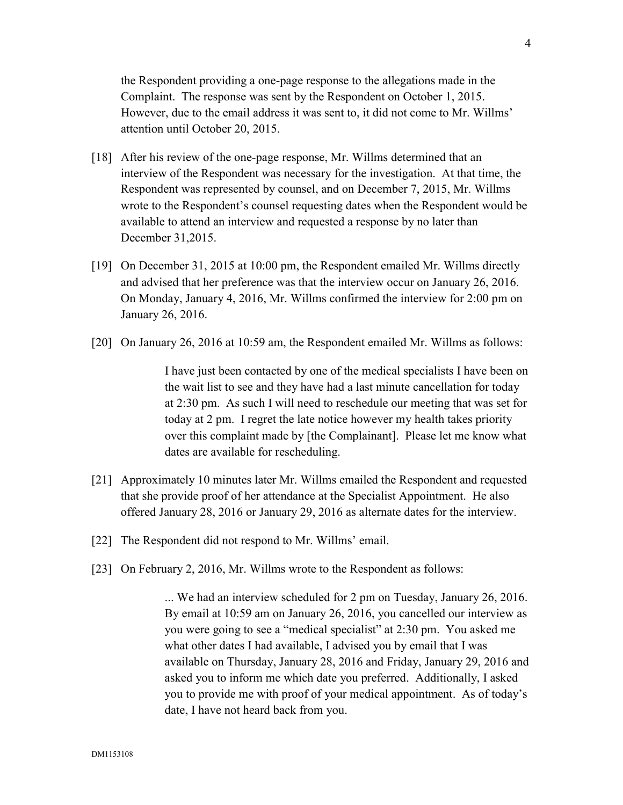the Respondent providing a one-page response to the allegations made in the Complaint. The response was sent by the Respondent on October 1, 2015. However, due to the email address it was sent to, it did not come to Mr. Willms' attention until October 20, 2015.

- [18] After his review of the one-page response, Mr. Willms determined that an interview of the Respondent was necessary for the investigation. At that time, the Respondent was represented by counsel, and on December 7, 2015, Mr. Willms wrote to the Respondent's counsel requesting dates when the Respondent would be available to attend an interview and requested a response by no later than December 31,2015.
- [19] On December 31, 2015 at 10:00 pm, the Respondent emailed Mr. Willms directly and advised that her preference was that the interview occur on January 26, 2016. On Monday, January 4, 2016, Mr. Willms confirmed the interview for 2:00 pm on January 26, 2016.
- [20] On January 26, 2016 at 10:59 am, the Respondent emailed Mr. Willms as follows:

I have just been contacted by one of the medical specialists I have been on the wait list to see and they have had a last minute cancellation for today at 2:30 pm. As such I will need to reschedule our meeting that was set for today at 2 pm. I regret the late notice however my health takes priority over this complaint made by [the Complainant]. Please let me know what dates are available for rescheduling.

- [21] Approximately 10 minutes later Mr. Willms emailed the Respondent and requested that she provide proof of her attendance at the Specialist Appointment. He also offered January 28, 2016 or January 29, 2016 as alternate dates for the interview.
- [22] The Respondent did not respond to Mr. Willms' email.
- [23] On February 2, 2016, Mr. Willms wrote to the Respondent as follows:

... We had an interview scheduled for 2 pm on Tuesday, January 26, 2016. By email at 10:59 am on January 26, 2016, you cancelled our interview as you were going to see a "medical specialist" at 2:30 pm. You asked me what other dates I had available, I advised you by email that I was available on Thursday, January 28, 2016 and Friday, January 29, 2016 and asked you to inform me which date you preferred. Additionally, I asked you to provide me with proof of your medical appointment. As of today's date, I have not heard back from you.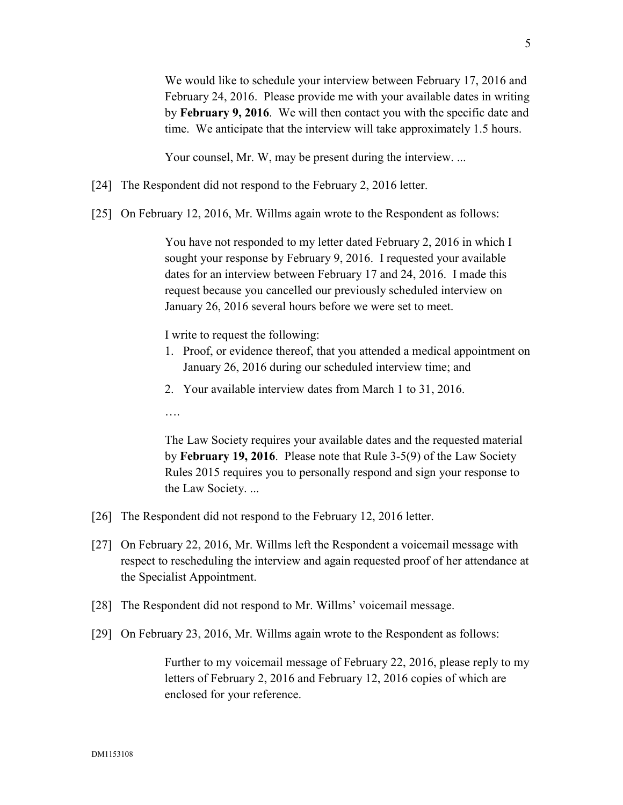We would like to schedule your interview between February 17, 2016 and

February 24, 2016. Please provide me with your available dates in writing by **February 9, 2016**. We will then contact you with the specific date and time. We anticipate that the interview will take approximately 1.5 hours.

Your counsel, Mr. W, may be present during the interview. ...

- [24] The Respondent did not respond to the February 2, 2016 letter.
- [25] On February 12, 2016, Mr. Willms again wrote to the Respondent as follows:

You have not responded to my letter dated February 2, 2016 in which I sought your response by February 9, 2016. I requested your available dates for an interview between February 17 and 24, 2016. I made this request because you cancelled our previously scheduled interview on January 26, 2016 several hours before we were set to meet.

I write to request the following:

- 1. Proof, or evidence thereof, that you attended a medical appointment on January 26, 2016 during our scheduled interview time; and
- 2. Your available interview dates from March 1 to 31, 2016.

….

The Law Society requires your available dates and the requested material by **February 19, 2016**. Please note that Rule 3-5(9) of the Law Society Rules 2015 requires you to personally respond and sign your response to the Law Society. ...

- [26] The Respondent did not respond to the February 12, 2016 letter.
- [27] On February 22, 2016, Mr. Willms left the Respondent a voicemail message with respect to rescheduling the interview and again requested proof of her attendance at the Specialist Appointment.
- [28] The Respondent did not respond to Mr. Willms' voicemail message.
- [29] On February 23, 2016, Mr. Willms again wrote to the Respondent as follows:

Further to my voicemail message of February 22, 2016, please reply to my letters of February 2, 2016 and February 12, 2016 copies of which are enclosed for your reference.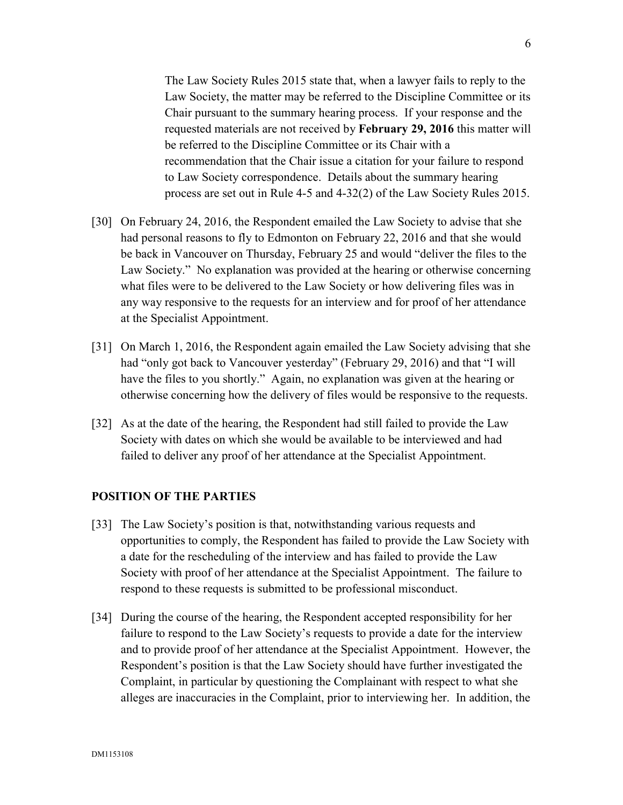The Law Society Rules 2015 state that, when a lawyer fails to reply to the Law Society, the matter may be referred to the Discipline Committee or its Chair pursuant to the summary hearing process. If your response and the requested materials are not received by **February 29, 2016** this matter will be referred to the Discipline Committee or its Chair with a recommendation that the Chair issue a citation for your failure to respond to Law Society correspondence. Details about the summary hearing process are set out in Rule 4-5 and 4-32(2) of the Law Society Rules 2015.

- [30] On February 24, 2016, the Respondent emailed the Law Society to advise that she had personal reasons to fly to Edmonton on February 22, 2016 and that she would be back in Vancouver on Thursday, February 25 and would "deliver the files to the Law Society." No explanation was provided at the hearing or otherwise concerning what files were to be delivered to the Law Society or how delivering files was in any way responsive to the requests for an interview and for proof of her attendance at the Specialist Appointment.
- [31] On March 1, 2016, the Respondent again emailed the Law Society advising that she had "only got back to Vancouver yesterday" (February 29, 2016) and that "I will have the files to you shortly." Again, no explanation was given at the hearing or otherwise concerning how the delivery of files would be responsive to the requests.
- [32] As at the date of the hearing, the Respondent had still failed to provide the Law Society with dates on which she would be available to be interviewed and had failed to deliver any proof of her attendance at the Specialist Appointment.

#### **POSITION OF THE PARTIES**

- [33] The Law Society's position is that, notwithstanding various requests and opportunities to comply, the Respondent has failed to provide the Law Society with a date for the rescheduling of the interview and has failed to provide the Law Society with proof of her attendance at the Specialist Appointment. The failure to respond to these requests is submitted to be professional misconduct.
- [34] During the course of the hearing, the Respondent accepted responsibility for her failure to respond to the Law Society's requests to provide a date for the interview and to provide proof of her attendance at the Specialist Appointment. However, the Respondent's position is that the Law Society should have further investigated the Complaint, in particular by questioning the Complainant with respect to what she alleges are inaccuracies in the Complaint, prior to interviewing her. In addition, the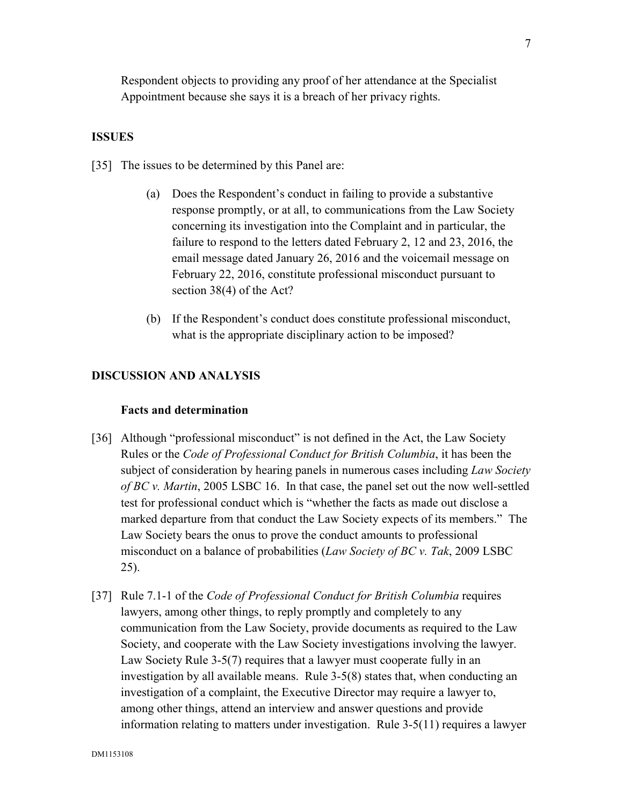Respondent objects to providing any proof of her attendance at the Specialist Appointment because she says it is a breach of her privacy rights.

#### **ISSUES**

- [35] The issues to be determined by this Panel are:
	- (a) Does the Respondent's conduct in failing to provide a substantive response promptly, or at all, to communications from the Law Society concerning its investigation into the Complaint and in particular, the failure to respond to the letters dated February 2, 12 and 23, 2016, the email message dated January 26, 2016 and the voicemail message on February 22, 2016, constitute professional misconduct pursuant to section 38(4) of the Act?
	- (b) If the Respondent's conduct does constitute professional misconduct, what is the appropriate disciplinary action to be imposed?

#### **DISCUSSION AND ANALYSIS**

#### **Facts and determination**

- [36] Although "professional misconduct" is not defined in the Act, the Law Society Rules or the *Code of Professional Conduct for British Columbia*, it has been the subject of consideration by hearing panels in numerous cases including *Law Society of BC v. Martin*, 2005 LSBC 16. In that case, the panel set out the now well-settled test for professional conduct which is "whether the facts as made out disclose a marked departure from that conduct the Law Society expects of its members." The Law Society bears the onus to prove the conduct amounts to professional misconduct on a balance of probabilities (*Law Society of BC v. Tak*, 2009 LSBC 25).
- [37] Rule 7.1-1 of the *Code of Professional Conduct for British Columbia* requires lawyers, among other things, to reply promptly and completely to any communication from the Law Society, provide documents as required to the Law Society, and cooperate with the Law Society investigations involving the lawyer. Law Society Rule 3-5(7) requires that a lawyer must cooperate fully in an investigation by all available means. Rule 3-5(8) states that, when conducting an investigation of a complaint, the Executive Director may require a lawyer to, among other things, attend an interview and answer questions and provide information relating to matters under investigation. Rule 3-5(11) requires a lawyer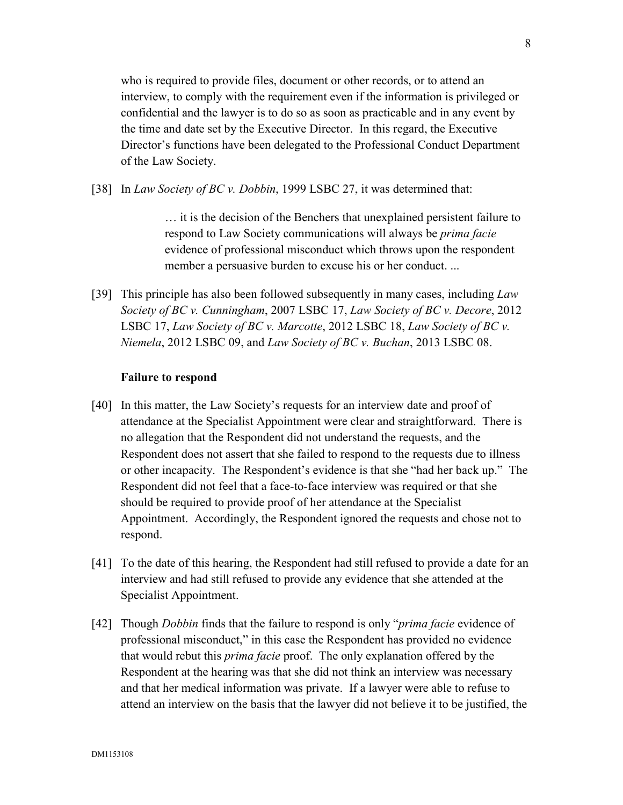who is required to provide files, document or other records, or to attend an interview, to comply with the requirement even if the information is privileged or confidential and the lawyer is to do so as soon as practicable and in any event by the time and date set by the Executive Director. In this regard, the Executive Director's functions have been delegated to the Professional Conduct Department of the Law Society.

[38] In *Law Society of BC v. Dobbin*, 1999 LSBC 27, it was determined that:

… it is the decision of the Benchers that unexplained persistent failure to respond to Law Society communications will always be *prima facie* evidence of professional misconduct which throws upon the respondent member a persuasive burden to excuse his or her conduct. ...

[39] This principle has also been followed subsequently in many cases, including *Law Society of BC v. Cunningham*, 2007 LSBC 17, *Law Society of BC v. Decore*, 2012 LSBC 17, *Law Society of BC v. Marcotte*, 2012 LSBC 18, *Law Society of BC v. Niemela*, 2012 LSBC 09, and *Law Society of BC v. Buchan*, 2013 LSBC 08.

# **Failure to respond**

- [40] In this matter, the Law Society's requests for an interview date and proof of attendance at the Specialist Appointment were clear and straightforward. There is no allegation that the Respondent did not understand the requests, and the Respondent does not assert that she failed to respond to the requests due to illness or other incapacity. The Respondent's evidence is that she "had her back up." The Respondent did not feel that a face-to-face interview was required or that she should be required to provide proof of her attendance at the Specialist Appointment. Accordingly, the Respondent ignored the requests and chose not to respond.
- [41] To the date of this hearing, the Respondent had still refused to provide a date for an interview and had still refused to provide any evidence that she attended at the Specialist Appointment.
- [42] Though *Dobbin* finds that the failure to respond is only "*prima facie* evidence of professional misconduct," in this case the Respondent has provided no evidence that would rebut this *prima facie* proof. The only explanation offered by the Respondent at the hearing was that she did not think an interview was necessary and that her medical information was private. If a lawyer were able to refuse to attend an interview on the basis that the lawyer did not believe it to be justified, the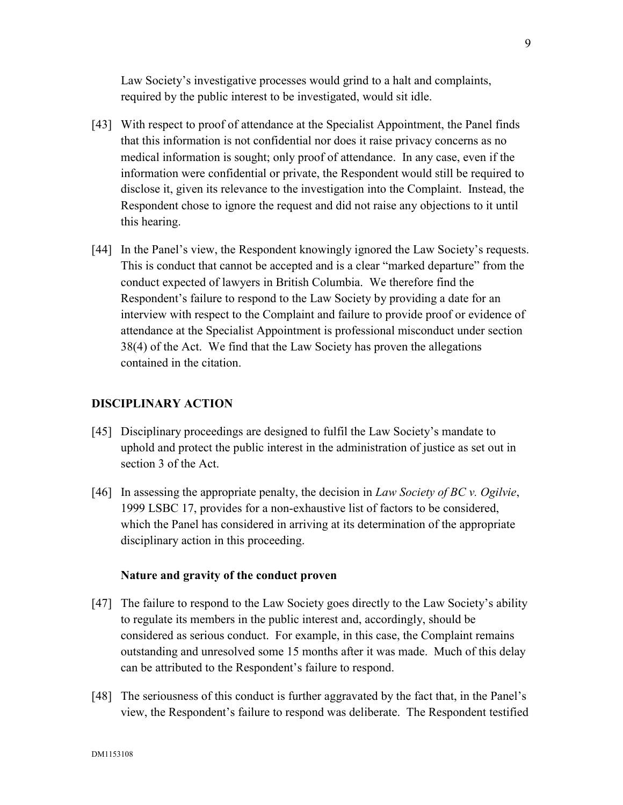Law Society's investigative processes would grind to a halt and complaints, required by the public interest to be investigated, would sit idle.

- [43] With respect to proof of attendance at the Specialist Appointment, the Panel finds that this information is not confidential nor does it raise privacy concerns as no medical information is sought; only proof of attendance. In any case, even if the information were confidential or private, the Respondent would still be required to disclose it, given its relevance to the investigation into the Complaint. Instead, the Respondent chose to ignore the request and did not raise any objections to it until this hearing.
- [44] In the Panel's view, the Respondent knowingly ignored the Law Society's requests. This is conduct that cannot be accepted and is a clear "marked departure" from the conduct expected of lawyers in British Columbia. We therefore find the Respondent's failure to respond to the Law Society by providing a date for an interview with respect to the Complaint and failure to provide proof or evidence of attendance at the Specialist Appointment is professional misconduct under section 38(4) of the Act. We find that the Law Society has proven the allegations contained in the citation.

## **DISCIPLINARY ACTION**

- [45] Disciplinary proceedings are designed to fulfil the Law Society's mandate to uphold and protect the public interest in the administration of justice as set out in section 3 of the Act.
- [46] In assessing the appropriate penalty, the decision in *Law Society of BC v. Ogilvie*, 1999 LSBC 17, provides for a non-exhaustive list of factors to be considered, which the Panel has considered in arriving at its determination of the appropriate disciplinary action in this proceeding.

## **Nature and gravity of the conduct proven**

- [47] The failure to respond to the Law Society goes directly to the Law Society's ability to regulate its members in the public interest and, accordingly, should be considered as serious conduct. For example, in this case, the Complaint remains outstanding and unresolved some 15 months after it was made. Much of this delay can be attributed to the Respondent's failure to respond.
- [48] The seriousness of this conduct is further aggravated by the fact that, in the Panel's view, the Respondent's failure to respond was deliberate. The Respondent testified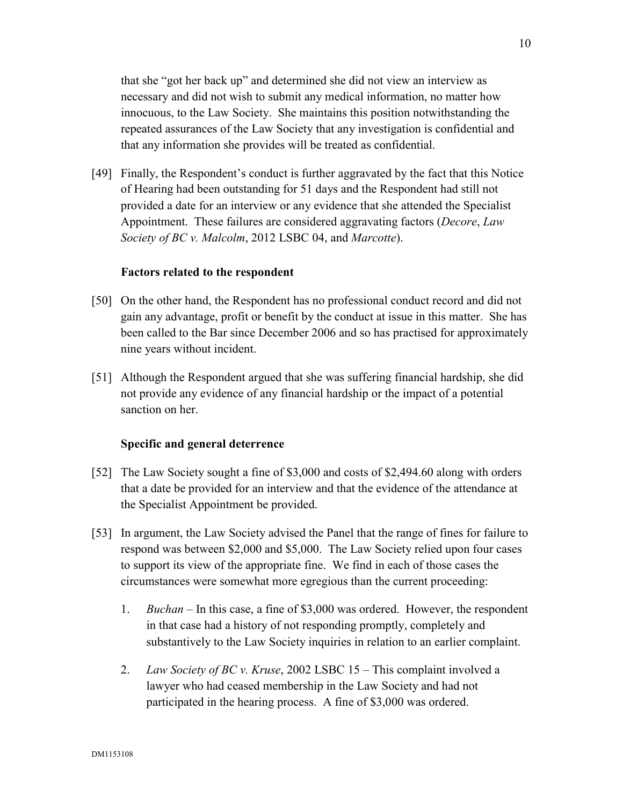that she "got her back up" and determined she did not view an interview as necessary and did not wish to submit any medical information, no matter how innocuous, to the Law Society. She maintains this position notwithstanding the repeated assurances of the Law Society that any investigation is confidential and that any information she provides will be treated as confidential.

[49] Finally, the Respondent's conduct is further aggravated by the fact that this Notice of Hearing had been outstanding for 51 days and the Respondent had still not provided a date for an interview or any evidence that she attended the Specialist Appointment. These failures are considered aggravating factors (*Decore*, *Law Society of BC v. Malcolm*, 2012 LSBC 04, and *Marcotte*).

### **Factors related to the respondent**

- [50] On the other hand, the Respondent has no professional conduct record and did not gain any advantage, profit or benefit by the conduct at issue in this matter. She has been called to the Bar since December 2006 and so has practised for approximately nine years without incident.
- [51] Although the Respondent argued that she was suffering financial hardship, she did not provide any evidence of any financial hardship or the impact of a potential sanction on her.

# **Specific and general deterrence**

- [52] The Law Society sought a fine of \$3,000 and costs of \$2,494.60 along with orders that a date be provided for an interview and that the evidence of the attendance at the Specialist Appointment be provided.
- [53] In argument, the Law Society advised the Panel that the range of fines for failure to respond was between \$2,000 and \$5,000. The Law Society relied upon four cases to support its view of the appropriate fine. We find in each of those cases the circumstances were somewhat more egregious than the current proceeding:
	- 1. *Buchan* In this case, a fine of \$3,000 was ordered. However, the respondent in that case had a history of not responding promptly, completely and substantively to the Law Society inquiries in relation to an earlier complaint.
	- 2. *Law Society of BC v. Kruse*, 2002 LSBC 15 This complaint involved a lawyer who had ceased membership in the Law Society and had not participated in the hearing process. A fine of \$3,000 was ordered.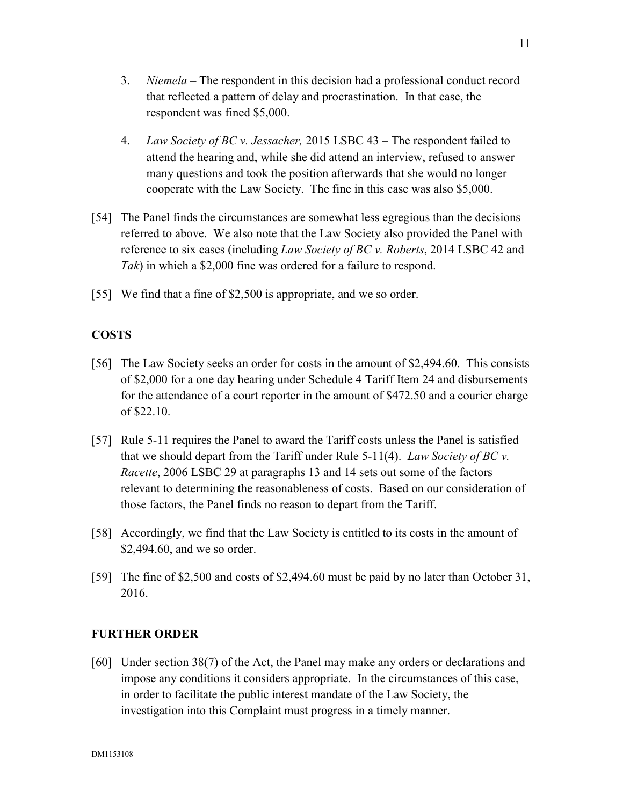- 3. *Niemela*  The respondent in this decision had a professional conduct record that reflected a pattern of delay and procrastination. In that case, the respondent was fined \$5,000.
- 4. *Law Society of BC v. Jessacher,* 2015 LSBC 43 The respondent failed to attend the hearing and, while she did attend an interview, refused to answer many questions and took the position afterwards that she would no longer cooperate with the Law Society. The fine in this case was also \$5,000.
- [54] The Panel finds the circumstances are somewhat less egregious than the decisions referred to above. We also note that the Law Society also provided the Panel with reference to six cases (including *Law Society of BC v. Roberts*, 2014 LSBC 42 and *Tak*) in which a \$2,000 fine was ordered for a failure to respond.
- [55] We find that a fine of \$2,500 is appropriate, and we so order.

# **COSTS**

- [56] The Law Society seeks an order for costs in the amount of \$2,494.60. This consists of \$2,000 for a one day hearing under Schedule 4 Tariff Item 24 and disbursements for the attendance of a court reporter in the amount of \$472.50 and a courier charge of \$22.10.
- [57] Rule 5-11 requires the Panel to award the Tariff costs unless the Panel is satisfied that we should depart from the Tariff under Rule 5-11(4). *Law Society of BC v. Racette*, 2006 LSBC 29 at paragraphs 13 and 14 sets out some of the factors relevant to determining the reasonableness of costs. Based on our consideration of those factors, the Panel finds no reason to depart from the Tariff.
- [58] Accordingly, we find that the Law Society is entitled to its costs in the amount of \$2,494.60, and we so order.
- [59] The fine of \$2,500 and costs of \$2,494.60 must be paid by no later than October 31, 2016.

# **FURTHER ORDER**

[60] Under section 38(7) of the Act, the Panel may make any orders or declarations and impose any conditions it considers appropriate. In the circumstances of this case, in order to facilitate the public interest mandate of the Law Society, the investigation into this Complaint must progress in a timely manner.